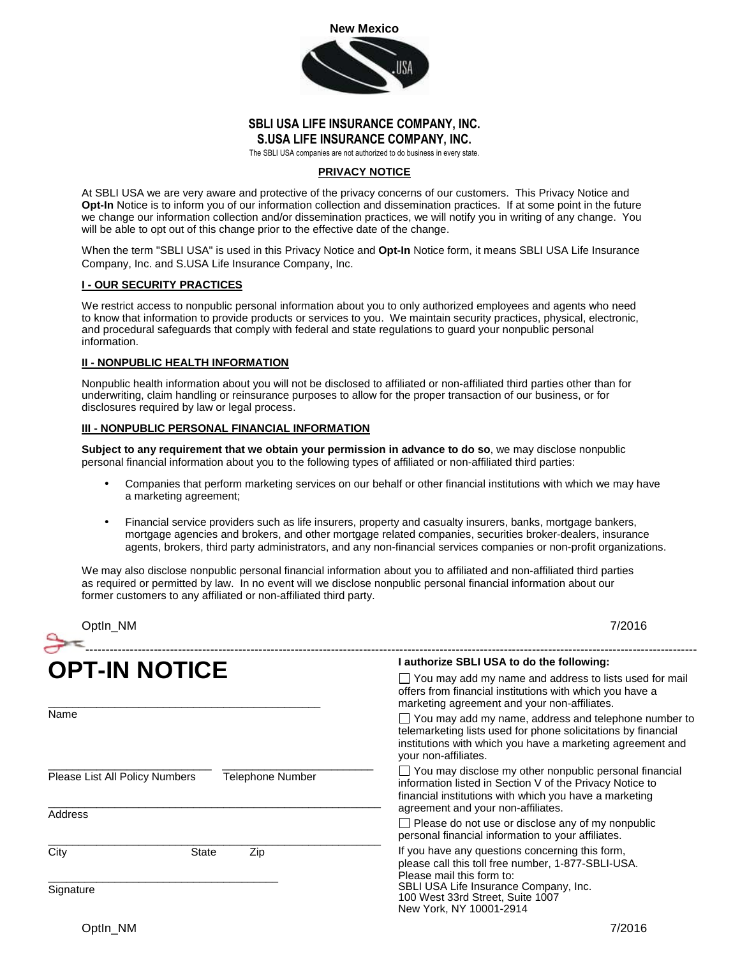

## **SBLI USA LIFE INSURANCE COMPANY, INC. S.USA LIFE INSURANCE COMPANY, INC.**

The SBLI USA companies are not authorized to do business in every state.

### **PRIVACY NOTICE**

At SBLI USA we are very aware and protective of the privacy concerns of our customers. This Privacy Notice and **Opt-In** Notice is to inform you of our information collection and dissemination practices. If at some point in the future we change our information collection and/or dissemination practices, we will notify you in writing of any change. You will be able to opt out of this change prior to the effective date of the change.

When the term "SBLI USA" is used in this Privacy Notice and **Opt-In** Notice form, it means SBLI USA Life Insurance Company, Inc. and S.USA Life Insurance Company, Inc.

# **I - OUR SECURITY PRACTICES**

We restrict access to nonpublic personal information about you to only authorized employees and agents who need to know that information to provide products or services to you. We maintain security practices, physical, electronic, and procedural safeguards that comply with federal and state regulations to guard your nonpublic personal information.

#### **II - NONPUBLIC HEALTH INFORMATION**

Nonpublic health information about you will not be disclosed to affiliated or non-affiliated third parties other than for underwriting, claim handling or reinsurance purposes to allow for the proper transaction of our business, or for disclosures required by law or legal process.

### **III - NONPUBLIC PERSONAL FINANCIAL INFORMATION**

**Subject to any requirement that we obtain your permission in advance to do so**, we may disclose nonpublic personal financial information about you to the following types of affiliated or non-affiliated third parties:

- Companies that perform marketing services on our behalf or other financial institutions with which we may have a marketing agreement;
- Financial service providers such as life insurers, property and casualty insurers, banks, mortgage bankers, mortgage agencies and brokers, and other mortgage related companies, securities broker-dealers, insurance agents, brokers, third party administrators, and any non-financial services companies or non-profit organizations.

We may also disclose nonpublic personal financial information about you to affiliated and non-affiliated third parties as required or permitted by law. In no event will we disclose nonpublic personal financial information about our former customers to any affiliated or non-affiliated third party.

| Optin_NM                                           |                     | 7/2016                                                                                                                                                                                                                                                                                                                                                                                          |
|----------------------------------------------------|---------------------|-------------------------------------------------------------------------------------------------------------------------------------------------------------------------------------------------------------------------------------------------------------------------------------------------------------------------------------------------------------------------------------------------|
| <b>OPT-IN NOTICE</b>                               |                     | I authorize SBLI USA to do the following:                                                                                                                                                                                                                                                                                                                                                       |
|                                                    |                     | $\Box$ You may add my name and address to lists used for mail<br>offers from financial institutions with which you have a<br>marketing agreement and your non-affiliates.<br>$\Box$ You may add my name, address and telephone number to<br>telemarketing lists used for phone solicitations by financial<br>institutions with which you have a marketing agreement and<br>your non-affiliates. |
| Name                                               |                     |                                                                                                                                                                                                                                                                                                                                                                                                 |
| Please List All Policy Numbers<br>Telephone Number |                     | $\Box$ You may disclose my other nonpublic personal financial<br>information listed in Section V of the Privacy Notice to<br>financial institutions with which you have a marketing<br>agreement and your non-affiliates.<br>$\Box$ Please do not use or disclose any of my nonpublic<br>personal financial information to your affiliates.                                                     |
| Address                                            |                     |                                                                                                                                                                                                                                                                                                                                                                                                 |
| City                                               | <b>State</b><br>Zip | If you have any questions concerning this form,<br>please call this toll free number, 1-877-SBLI-USA.<br>Please mail this form to:                                                                                                                                                                                                                                                              |
| Signature                                          |                     | SBLI USA Life Insurance Company, Inc.<br>100 West 33rd Street, Suite 1007<br>New York, NY 10001-2914                                                                                                                                                                                                                                                                                            |
| Optin NM                                           |                     | 7/2016                                                                                                                                                                                                                                                                                                                                                                                          |